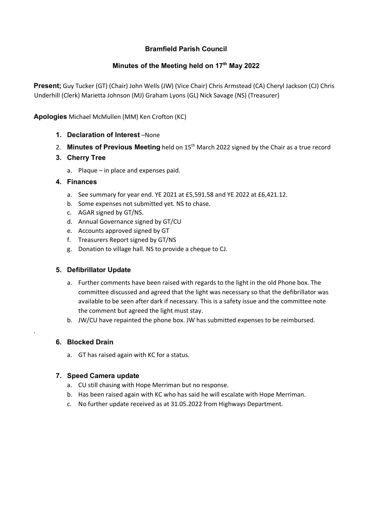### **Bramfield Parish Council**

# **Minutes of the Meeting held on 17th May 2022**

**Present;** Guy Tucker (GT) (Chair) John Wells (JW) (Vice Chair) Chris Armstead (CA) Cheryl Jackson (CJ) Chris Underhill (Clerk) Marietta Johnson (MJ) Graham Lyons (GL) Nick Savage (NS) (Treasurer)

**Apologies** Michael McMullen (MM) Ken Crofton (KC)

- **1. Declaration of Interest** –None
- 2. **Minutes of Previous Meeting** held on 15<sup>th</sup> March 2022 signed by the Chair as a true record
- **3. Cherry Tree** 
	- a. Plaque in place and expenses paid.

### **4. Finances**

- a. See summary for year end. YE 2021 at £5,591.58 and YE 2022 at £6,421.12.
- b. Some expenses not submitted yet. NS to chase.
- c. AGAR signed by GT/NS.
- d. Annual Governance signed by GT/CU
- e. Accounts approved signed by GT
- f. Treasurers Report signed by GT/NS
- g. Donation to village hall. NS to provide a cheque to CJ.

### **5. Defibrillator Update**

- a. Further comments have been raised with regards to the light in the old Phone box. The committee discussed and agreed that the light was necessary so that the defibrillator was available to be seen after dark if necessary. This is a safety issue and the committee note the comment but agreed the light must stay.
- b. JW/CU have repainted the phone box. JW has submitted expenses to be reimbursed.

### **6. Blocked Drain**

.

a. GT has raised again with KC for a status.

### **7. Speed Camera update**

- a. CU still chasing with Hope Merriman but no response.
- b. Has been raised again with KC who has said he will escalate with Hope Merriman.
- c. No further update received as at 31.05.2022 from Highways Department.